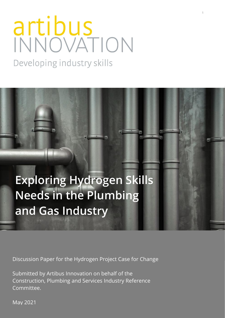# artibus<br>INNOVATION

**1**

Developing industry skills

**Exploring Hydrogen Skills Needs in the Plumbing and Gas Industry** 

Discussion Paper for the Hydrogen Project Case for Change

Submitted by Artibus Innovation on behalf of the Construction, Plumbing and Services Industry Reference Committee.

May 2021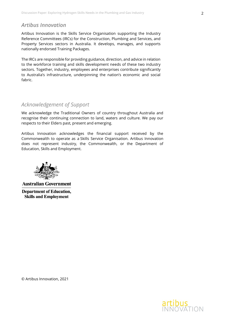# *Artibus Innovation*

Artibus Innovation is the Skills Service Organisation supporting the Industry Reference Committees (IRCs) for the Construction, Plumbing and Services, and Property Services sectors in Australia. It develops, manages, and supports nationally endorsed Training Packages.

The IRCs are responsible for providing guidance, direction, and advice in relation to the workforce training and skills development needs of these two industry sectors. Together, industry, employees and enterprises contribute significantly to Australia's infrastructure, underpinning the nation's economic and social fabric.

## *Acknowledgement of Support*

We acknowledge the Traditional Owners of country throughout Australia and recognise their continuing connection to land, waters and culture. We pay our respects to their Elders past, present and emerging.

Artibus Innovation acknowledges the financial support received by the Commonwealth to operate as a Skills Service Organisation. Artibus Innovation does not represent industry, the Commonwealth, or the Department of Education, Skills and Employment.



**Australian Government Department of Education, Skills and Employment** 

© Artibus Innovation, 2021

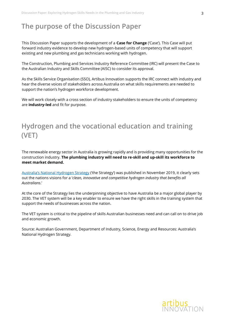# **The purpose of the Discussion Paper**

This Discussion Paper supports the development of a **Case for Change** ('Case'). This Case will put forward industry evidence to develop new hydrogen-based units of competency that will support existing and new plumbing and gas technicians working with hydrogen.

The Construction, Plumbing and Services Industry Reference Committee (IRC) will present the Case to the Australian Industry and Skills Committee (AISC) to consider its approval.

As the Skills Service Organisation (SSO), Artibus Innovation supports the IRC connect with industry and hear the diverse voices of stakeholders across Australia on what skills requirements are needed to support the nation's hydrogen workforce development.

We will work closely with a cross section of industry stakeholders to ensure the units of competency are **industry-led** and fit for purpose.

# **Hydrogen and the vocational education and training (VET)**

The renewable energy sector in Australia is growing rapidly and is providing many opportunities for the construction industry. **The plumbing industry will need to re-skill and up-skill its workforce to meet market demand.** 

[Australia's National Hydrogen Strategy](https://www.industry.gov.au/data-and-publications/australias-national-hydrogen-strategy) ('the Strategy') was published in November 2019, it clearly sets out the nations visions for a '*clean, innovative and competitive hydrogen industry that benefits all Australians*.'

At the core of the Strategy lies the underpinning objective to have Australia be a major global player by 2030. The VET system will be a key enabler to ensure we have the right skills in the training system that support the needs of businesses across the nation.

The VET system is critical to the pipeline of skills Australian businesses need and can call on to drive job and economic growth.

Source: Australian Government, Department of Industry, Science, Energy and Resources: Australia's National Hydrogen Strategy.

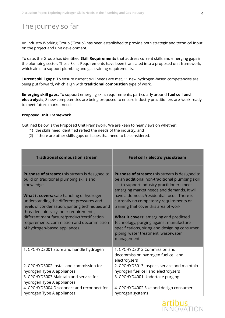# The journey so far

An industry Working Group ('Group') has been established to provide both strategic and technical input on the project and unit development.

To date, the Group has identified **Skill Requirements** that address current skills and emerging gaps in the plumbing sector. These Skills Requirements have been translated into a proposed unit framework, which aims to support plumbing and gas training requirements.

**Current skill gaps:** To ensure current skill needs are met, 11 new hydrogen-based competencies are being put forward, which align with **traditional combustion** type of work.

**Emerging skill gaps:** To support emerging skills requirements, particularly around **fuel cell and electrolysis**, 8 new competencies are being proposed to ensure industry practitioners are 'work-ready' to meet future market needs.

#### **Proposed Unit Framework**

Outlined below is the Proposed Unit Framework. We are keen to hear views on whether:

- (1) the skills need identified reflect the needs of the industry, and
- (2) if there are other skills gaps or issues that need to be considered.

| <b>Traditional combustion stream</b>                                                                                                                                                                                                                                                                                                                                                                                                 | Fuel cell / electrolysis stream                                                                                                                                                                                                                                                                                                                                                                                                                                                                                                            |
|--------------------------------------------------------------------------------------------------------------------------------------------------------------------------------------------------------------------------------------------------------------------------------------------------------------------------------------------------------------------------------------------------------------------------------------|--------------------------------------------------------------------------------------------------------------------------------------------------------------------------------------------------------------------------------------------------------------------------------------------------------------------------------------------------------------------------------------------------------------------------------------------------------------------------------------------------------------------------------------------|
| <b>Purpose of stream:</b> this stream is designed to<br>build on traditional plumbing skills and<br>knowledge.<br>What it covers: safe handling of hydrogen,<br>understanding the different pressures and<br>levels of condensation, jointing techniques and<br>threaded joints, cylinder requirements,<br>different manufacture/product/certification<br>requirements, commission and decommission<br>of hydrogen-based appliances. | <b>Purpose of stream:</b> this stream is designed to<br>be an additional non-traditional plumbing skill<br>set to support industry practitioners meet<br>emerging market needs and demands. It will<br>have a domestic/residential focus. There is<br>currently no competency requirements or<br>training that cover this area of work.<br><b>What it covers:</b> emerging and predicted<br>technology, purging against manufacture<br>specifications, sizing and designing consumer<br>piping, water treatment, wastewater<br>management. |
| 1. CPCHYD3001 Store and handle hydrogen                                                                                                                                                                                                                                                                                                                                                                                              | 1. CPCHYD3012 Commission and<br>decommission hydrogen fuel cell and<br>electrolysers                                                                                                                                                                                                                                                                                                                                                                                                                                                       |
| 2. CPCHYD3002 Install and commission for<br>hydrogen Type A appliances                                                                                                                                                                                                                                                                                                                                                               | 2. CPCHYD3013 Inspect, service and maintain<br>hydrogen fuel cell and electrolysers                                                                                                                                                                                                                                                                                                                                                                                                                                                        |
| 3. CPCHYD3003 Maintain and service for<br>hydrogen Type A appliances                                                                                                                                                                                                                                                                                                                                                                 | 3. CPCHYD4001 Undertake purging                                                                                                                                                                                                                                                                                                                                                                                                                                                                                                            |
| 4. CPCHYD3004 Disconnect and reconnect for<br>hydrogen Type A appliances                                                                                                                                                                                                                                                                                                                                                             | 4. CPCHYD4002 Size and design consumer<br>hydrogen systems                                                                                                                                                                                                                                                                                                                                                                                                                                                                                 |

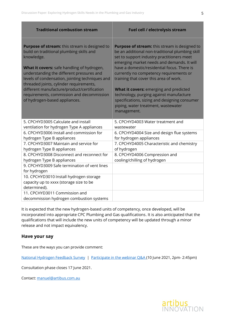| <b>Traditional combustion stream</b>                                                                                                                                                                                                                                                                                                                                                                                          | Fuel cell / electrolysis stream                                                                                                                                                                                                                                                                                                                                                                                                                                                                                              |
|-------------------------------------------------------------------------------------------------------------------------------------------------------------------------------------------------------------------------------------------------------------------------------------------------------------------------------------------------------------------------------------------------------------------------------|------------------------------------------------------------------------------------------------------------------------------------------------------------------------------------------------------------------------------------------------------------------------------------------------------------------------------------------------------------------------------------------------------------------------------------------------------------------------------------------------------------------------------|
| Purpose of stream: this stream is designed to<br>build on traditional plumbing skills and<br>knowledge.<br>What it covers: safe handling of hydrogen,<br>understanding the different pressures and<br>levels of condensation, jointing techniques and<br>threaded joints, cylinder requirements,<br>different manufacture/product/certification<br>requirements, commission and decommission<br>of hydrogen-based appliances. | Purpose of stream: this stream is designed to<br>be an additional non-traditional plumbing skill<br>set to support industry practitioners meet<br>emerging market needs and demands. It will<br>have a domestic/residential focus. There is<br>currently no competency requirements or<br>training that cover this area of work.<br>What it covers: emerging and predicted<br>technology, purging against manufacture<br>specifications, sizing and designing consumer<br>piping, water treatment, wastewater<br>management. |
| 5. CPCHYD3005 Calculate and install                                                                                                                                                                                                                                                                                                                                                                                           | 5. CPCHYD4003 Water treatment and                                                                                                                                                                                                                                                                                                                                                                                                                                                                                            |
| ventilation for hydrogen Type A appliances                                                                                                                                                                                                                                                                                                                                                                                    | wastewater                                                                                                                                                                                                                                                                                                                                                                                                                                                                                                                   |
| 6. CPCHYD3006 Install and commission for<br>hydrogen Type B appliances                                                                                                                                                                                                                                                                                                                                                        | 6. CPCHYD4004 Size and design flue systems<br>for hydrogen appliances                                                                                                                                                                                                                                                                                                                                                                                                                                                        |
| 7. CPCHYD3007 Maintain and service for<br>hydrogen Type B appliances                                                                                                                                                                                                                                                                                                                                                          | 7. CPCHYD4005 Characteristic and chemistry<br>of hydrogen                                                                                                                                                                                                                                                                                                                                                                                                                                                                    |
| 8. CPCHYD3008 Disconnect and reconnect for<br>hydrogen Type B appliances                                                                                                                                                                                                                                                                                                                                                      | 8. CPCHYD4006 Compression and<br>cooling/chilling of hydrogen                                                                                                                                                                                                                                                                                                                                                                                                                                                                |
| 9. CPCHYD3009 Safe termination of vent lines<br>for hydrogen                                                                                                                                                                                                                                                                                                                                                                  |                                                                                                                                                                                                                                                                                                                                                                                                                                                                                                                              |
| 10. CPCHYD3010 Install hydrogen storage<br>capacity up to xxxx (storage size to be<br>determined).                                                                                                                                                                                                                                                                                                                            |                                                                                                                                                                                                                                                                                                                                                                                                                                                                                                                              |
| 11. CPCHYD3011 Commission and<br>decommission hydrogen combustion systems                                                                                                                                                                                                                                                                                                                                                     |                                                                                                                                                                                                                                                                                                                                                                                                                                                                                                                              |

It is expected that the new hydrogen-based units of competency, once developed, will be incorporated into appropriate CPC Plumbing and Gas qualifications. It is also anticipated that the qualifications that will include the new units of competency will be updated through a minor release and not impact equivalency.

### **Have your say**

These are the ways you can provide comment:

[National Hydrogen Feedback Survey](https://www.surveymonkey.com/r/6776X68) | [Participate in the webinar Q&A \(](https://us02web.zoom.us/meeting/register/tZUsfuqqpzsjGtSL2ts2G-oZZ_z0HEQrmmSn)10 June 2021, 2pm- 2:45pm)

Consultation phase closes 17 June 2021.

Contact: [manuel@artibus.com.au](mailto:manuel@artibus.com.au)

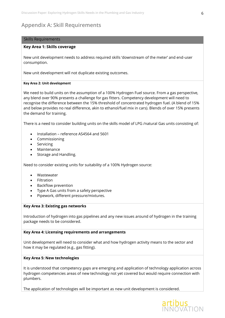# **Appendix A: Skill Requirements**

#### Skills Requirements

#### **Key Area 1: Skills coverage**

New unit development needs to address required skills 'downstream of the meter' and end-user consumption.

New unit development will not duplicate existing outcomes.

#### **Key Area 2: Unit development**

We need to build units on the assumption of a 100% Hydrogen Fuel source. From a gas perspective, any blend over 90% presents a challenge for gas fitters. Competency development will need to recognise the difference between the 15% threshold of concentrated hydrogen fuel. (A blend of 15% and below provides no real difference, akin to ethanol/fuel mix in cars). Blends of over 15% presents the demand for training.

There is a need to consider building units on the skills model of LPG /natural Gas units consisting of:

- Installation reference AS4564 and 5601
- Commissioning
- Servicing
- Maintenance
- Storage and Handling.

Need to consider existing units for suitability of a 100% Hydrogen source:

- Wastewater
- Filtration
- Backflow prevention
- Type A Gas units from a safety perspective
- Pipework, different pressure/mixtures.

#### **Key Area 3: Existing gas networks**

Introduction of hydrogen into gas pipelines and any new issues around of hydrogen in the training package needs to be considered.

#### **Key Area 4: Licensing requirements and arrangements**

Unit development will need to consider what and how hydrogen activity means to the sector and how it may be regulated (e.g., gas fitting).

#### **Key Area 5: New technologies**

It is understood that competency gaps are emerging and application of technology application across hydrogen competencies areas of new technology not yet covered but would require connection with plumbers.

The application of technologies will be important as new unit development is considered.